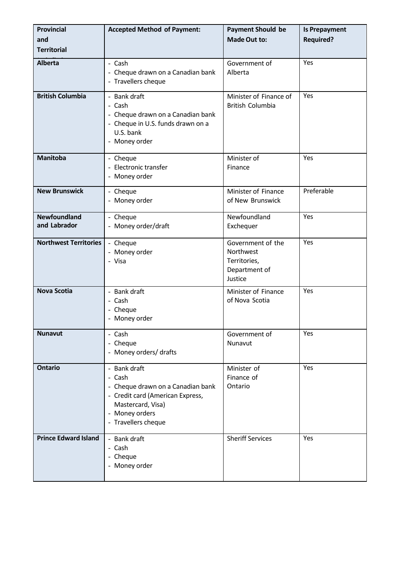| <b>Provincial</b><br>and<br><b>Territorial</b> | <b>Accepted Method of Payment:</b>                                                                                                                            | <b>Payment Should be</b><br><b>Made Out to:</b>                            | <b>Is Prepayment</b><br><b>Required?</b> |
|------------------------------------------------|---------------------------------------------------------------------------------------------------------------------------------------------------------------|----------------------------------------------------------------------------|------------------------------------------|
| <b>Alberta</b>                                 | - Cash<br>- Cheque drawn on a Canadian bank<br>- Travellers cheque                                                                                            | Government of<br>Alberta                                                   | Yes                                      |
| <b>British Columbia</b>                        | - Bank draft<br>- Cash<br>- Cheque drawn on a Canadian bank<br>- Cheque in U.S. funds drawn on a<br>U.S. bank<br>- Money order                                | Minister of Finance of<br><b>British Columbia</b>                          | Yes                                      |
| <b>Manitoba</b>                                | - Cheque<br>- Electronic transfer<br>- Money order                                                                                                            | Minister of<br>Finance                                                     | Yes                                      |
| <b>New Brunswick</b>                           | - Cheque<br>- Money order                                                                                                                                     | Minister of Finance<br>of New Brunswick                                    | Preferable                               |
| <b>Newfoundland</b><br>and Labrador            | - Cheque<br>- Money order/draft                                                                                                                               | Newfoundland<br>Exchequer                                                  | Yes                                      |
| <b>Northwest Territories</b>                   | - Cheque<br>- Money order<br>- Visa                                                                                                                           | Government of the<br>Northwest<br>Territories,<br>Department of<br>Justice | Yes                                      |
| <b>Nova Scotia</b>                             | - Bank draft<br>- Cash<br>- Cheque<br>- Money order                                                                                                           | Minister of Finance<br>of Nova Scotia                                      | Yes                                      |
| <b>Nunavut</b>                                 | - Cash<br>- Cheque<br>- Money orders/ drafts                                                                                                                  | Government of<br>Nunavut                                                   | Yes                                      |
| <b>Ontario</b>                                 | - Bank draft<br>- Cash<br>- Cheque drawn on a Canadian bank<br>- Credit card (American Express,<br>Mastercard, Visa)<br>- Money orders<br>- Travellers cheque | Minister of<br>Finance of<br>Ontario                                       | Yes                                      |
| <b>Prince Edward Island</b>                    | - Bank draft<br>- Cash<br>- Cheque<br>- Money order                                                                                                           | <b>Sheriff Services</b>                                                    | Yes                                      |